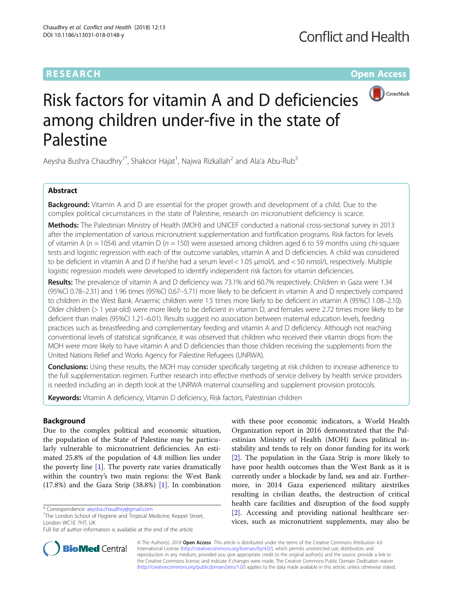# **RESEARCH CHE Open Access**



# Risk factors for vitamin A and D deficiencies among children under-five in the state of Palestine

Aeysha Bushra Chaudhry<sup>1\*</sup>, Shakoor Hajat<sup>1</sup>, Najwa Rizkallah<sup>2</sup> and Ala'a Abu-Rub<sup>3</sup>

## Abstract

**Background:** Vitamin A and D are essential for the proper growth and development of a child. Due to the complex political circumstances in the state of Palestine, research on micronutrient deficiency is scarce.

Methods: The Palestinian Ministry of Health (MOH) and UNICEF conducted a national cross-sectional survey in 2013 after the implementation of various micronutrient supplementation and fortification programs. Risk factors for levels of vitamin A ( $n = 1054$ ) and vitamin D ( $n = 150$ ) were assessed among children aged 6 to 59 months using chi-square tests and logistic regression with each of the outcome variables, vitamin A and D deficiencies. A child was considered to be deficient in vitamin A and D if he/she had a serum level < 1.05 μmol/L and < 50 nmol/L respectively. Multiple logistic regression models were developed to identify independent risk factors for vitamin deficiencies.

Results: The prevalence of vitamin A and D deficiency was 73.1% and 60.7% respectively. Children in Gaza were 1.34 (95%CI 0.78–2.31) and 1.96 times (95%CI 0.67–5.71) more likely to be deficient in vitamin A and D respectively compared to children in the West Bank. Anaemic children were 1.5 times more likely to be deficient in vitamin A (95%CI 1.08–2.10). Older children (> 1 year-old) were more likely to be deficient in vitamin D, and females were 2.72 times more likely to be deficient than males (95%CI 1.21–6.01). Results suggest no association between maternal education levels, feeding practices such as breastfeeding and complementary feeding and vitamin A and D deficiency. Although not reaching conventional levels of statistical significance, it was observed that children who received their vitamin drops from the MOH were more likely to have vitamin A and D deficiencies than those children receiving the supplements from the United Nations Relief and Works Agency for Palestine Refugees (UNRWA).

**Conclusions:** Using these results, the MOH may consider specifically targeting at risk children to increase adherence to the full supplementation regimen. Further research into effective methods of service delivery by health service providers is needed including an in depth look at the UNRWA maternal counselling and supplement provision protocols.

Keywords: Vitamin A deficiency, Vitamin D deficiency, Risk factors, Palestinian children

## Background

Due to the complex political and economic situation, the population of the State of Palestine may be particularly vulnerable to micronutrient deficiencies. An estimated 25.8% of the population of 4.8 million lies under the poverty line [\[1](#page-10-0)]. The poverty rate varies dramatically within the country's two main regions: the West Bank (17.8%) and the Gaza Strip (38.8%) [\[1](#page-10-0)]. In combination

with these poor economic indicators, a World Health Organization report in 2016 demonstrated that the Palestinian Ministry of Health (MOH) faces political instability and tends to rely on donor funding for its work [[2\]](#page-10-0). The population in the Gaza Strip is more likely to have poor health outcomes than the West Bank as it is currently under a blockade by land, sea and air. Furthermore, in 2014 Gaza experienced military airstrikes resulting in civilian deaths, the destruction of critical health care facilities and disruption of the food supply [[2\]](#page-10-0). Accessing and providing national healthcare services, such as micronutrient supplements, may also be



© The Author(s). 2018 Open Access This article is distributed under the terms of the Creative Commons Attribution 4.0 International License [\(http://creativecommons.org/licenses/by/4.0/](http://creativecommons.org/licenses/by/4.0/)), which permits unrestricted use, distribution, and reproduction in any medium, provided you give appropriate credit to the original author(s) and the source, provide a link to the Creative Commons license, and indicate if changes were made. The Creative Commons Public Domain Dedication waiver [\(http://creativecommons.org/publicdomain/zero/1.0/](http://creativecommons.org/publicdomain/zero/1.0/)) applies to the data made available in this article, unless otherwise stated.

<sup>\*</sup> Correspondence: [aeysha.chaudhry@gmail.com](mailto:aeysha.chaudhry@gmail.com) <sup>1</sup>

<sup>&</sup>lt;sup>1</sup>The London School of Hygiene and Tropical Medicine, Keppel Street, London WC1E 7HT, UK

Full list of author information is available at the end of the article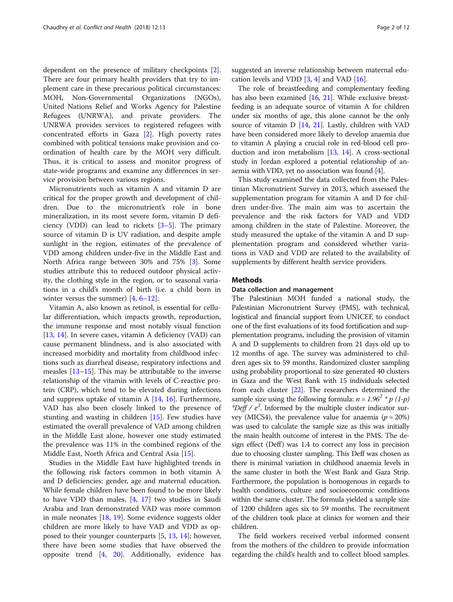dependent on the presence of military checkpoints [\[2](#page-10-0)]. There are four primary health providers that try to implement care in these precarious political circumstances: MOH, Non-Governmental Organizations (NGOs), United Nations Relief and Works Agency for Palestine Refugees (UNRWA), and private providers. The UNRWA provides services to registered refugees with concentrated efforts in Gaza [[2\]](#page-10-0). High poverty rates combined with political tensions make provision and coordination of health care by the MOH very difficult. Thus, it is critical to assess and monitor progress of state-wide programs and examine any differences in service provision between various regions.

Micronutrients such as vitamin A and vitamin D are critical for the proper growth and development of children. Due to the micronutrient's role in bone mineralization, in its most severe form, vitamin D deficiency (VDD) can lead to rickets [[3](#page-10-0)–[5](#page-10-0)]. The primary source of vitamin D is UV radiation, and despite ample sunlight in the region, estimates of the prevalence of VDD among children under-five in the Middle East and North Africa range between 30% and 75% [\[3](#page-10-0)]. Some studies attribute this to reduced outdoor physical activity, the clothing style in the region, or to seasonal variations in a child's month of birth (i.e. a child born in winter versus the summer)  $[4, 6-12]$  $[4, 6-12]$  $[4, 6-12]$  $[4, 6-12]$  $[4, 6-12]$ .

Vitamin A, also known as retinol, is essential for cellular differentiation, which impacts growth, reproduction, the immune response and most notably visual function [[13,](#page-11-0) [14\]](#page-11-0). In severe cases, vitamin A deficiency (VAD) can cause permanent blindness, and is also associated with increased morbidity and mortality from childhood infections such as diarrheal disease, respiratory infections and measles [[13](#page-11-0)–[15](#page-11-0)]. This may be attributable to the inverse relationship of the vitamin with levels of C-reactive protein (CRP), which tend to be elevated during infections and suppress uptake of vitamin A  $[14, 16]$  $[14, 16]$  $[14, 16]$  $[14, 16]$ . Furthermore, VAD has also been closely linked to the presence of stunting and wasting in children [[15](#page-11-0)]. Few studies have estimated the overall prevalence of VAD among children in the Middle East alone, however one study estimated the prevalence was 11% in the combined regions of the Middle East, North Africa and Central Asia [[15](#page-11-0)].

Studies in the Middle East have highlighted trends in the following risk factors common in both vitamin A and D deficiencies: gender, age and maternal education. While female children have been found to be more likely to have VDD than males, [[4,](#page-10-0) [17](#page-11-0)] two studies in Saudi Arabia and Iran demonstrated VAD was more common in male neonates [[18](#page-11-0), [19\]](#page-11-0). Some evidence suggests older children are more likely to have VAD and VDD as opposed to their younger counterparts [\[5](#page-10-0), [13](#page-11-0), [14](#page-11-0)]; however, there have been some studies that have observed the opposite trend [\[4](#page-10-0), [20\]](#page-11-0). Additionally, evidence has suggested an inverse relationship between maternal education levels and VDD  $[3, 4]$  $[3, 4]$  $[3, 4]$  and VAD  $[16]$  $[16]$ .

The role of breastfeeding and complementary feeding has also been examined  $[16, 21]$  $[16, 21]$  $[16, 21]$  $[16, 21]$ . While exclusive breastfeeding is an adequate source of vitamin A for children under six months of age, this alone cannot be the only source of vitamin D [\[14,](#page-11-0) [21](#page-11-0)]. Lastly, children with VAD have been considered more likely to develop anaemia due to vitamin A playing a crucial role in red-blood cell production and iron metabolism [\[13,](#page-11-0) [14\]](#page-11-0). A cross-sectional study in Jordan explored a potential relationship of anaemia with VDD, yet no association was found [\[4\]](#page-10-0).

This study examined the data collected from the Palestinian Micronutrient Survey in 2013, which assessed the supplementation program for vitamin A and D for children under-five. The main aim was to ascertain the prevalence and the risk factors for VAD and VDD among children in the state of Palestine. Moreover, the study measured the uptake of the vitamin A and D supplementation program and considered whether variations in VAD and VDD are related to the availability of supplements by different health service providers.

## Methods

## Data collection and management

The Palestinian MOH funded a national study, the Palestinian Micronutrient Survey (PMS), with technical, logistical and financial support from UNICEF, to conduct one of the first evaluations of its food fortification and supplementation programs, including the provision of vitamin A and D supplements to children from 21 days old up to 12 months of age. The survey was administered to children ages six to 59 months. Randomized cluster sampling using probability proportional to size generated 40 clusters in Gaza and the West Bank with 15 individuals selected from each cluster [\[22\]](#page-11-0). The researchers determined the sample size using the following formula:  $n = 1.96^2 * p(1-p)$ \*Deff /  $e^2$ . Informed by the multiple cluster indicator survey (MICS4), the prevalence value for anaemia ( $p = 20\%)$ was used to calculate the sample size as this was initially the main health outcome of interest in the PMS. The design effect (Deff) was 1.4 to correct any loss in precision due to choosing cluster sampling. This Deff was chosen as there is minimal variation in childhood anaemia levels in the same cluster in both the West Bank and Gaza Strip. Furthermore, the population is homogenous in regards to health conditions, culture and socioeconomic conditions within the same cluster. The formula yielded a sample size of 1200 children ages six to 59 months. The recruitment of the children took place at clinics for women and their children.

The field workers received verbal informed consent from the mothers of the children to provide information regarding the child's health and to collect blood samples.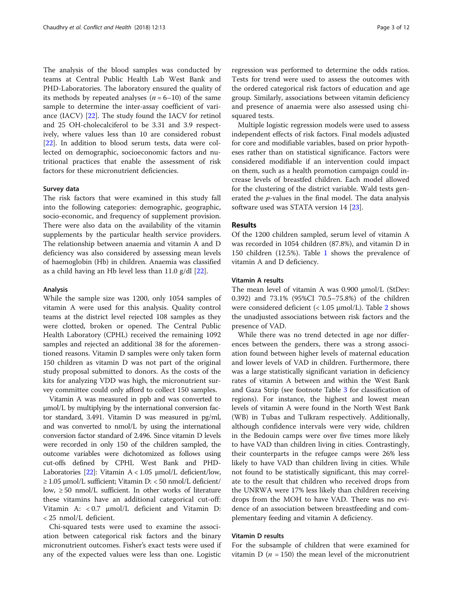The analysis of the blood samples was conducted by teams at Central Public Health Lab West Bank and PHD-Laboratories. The laboratory ensured the quality of its methods by repeated analyses  $(n = 6-10)$  of the same sample to determine the inter-assay coefficient of variance (IACV) [[22](#page-11-0)]. The study found the IACV for retinol and 25 OH-cholecalciferol to be 3.31 and 3.9 respectively, where values less than 10 are considered robust [[22\]](#page-11-0). In addition to blood serum tests, data were collected on demographic, socioeconomic factors and nutritional practices that enable the assessment of risk factors for these micronutrient deficiencies.

#### Survey data

The risk factors that were examined in this study fall into the following categories: demographic, geographic, socio-economic, and frequency of supplement provision. There were also data on the availability of the vitamin supplements by the particular health service providers. The relationship between anaemia and vitamin A and D deficiency was also considered by assessing mean levels of haemoglobin (Hb) in children. Anaemia was classified as a child having an Hb level less than 11.0 g/dl [\[22](#page-11-0)].

#### Analysis

While the sample size was 1200, only 1054 samples of vitamin A were used for this analysis. Quality control teams at the district level rejected 108 samples as they were clotted, broken or opened. The Central Public Health Laboratory (CPHL) received the remaining 1092 samples and rejected an additional 38 for the aforementioned reasons. Vitamin D samples were only taken form 150 children as vitamin D was not part of the original study proposal submitted to donors. As the costs of the kits for analyzing VDD was high, the micronutrient survey committee could only afford to collect 150 samples.

Vitamin A was measured in ppb and was converted to μmol/L by multiplying by the international conversion factor standard, 3.491. Vitamin D was measured in pg/ml, and was converted to nmol/L by using the international conversion factor standard of 2.496. Since vitamin D levels were recorded in only 150 of the children sampled, the outcome variables were dichotomized as follows using cut-offs defined by CPHL West Bank and PHD-Laboratories [\[22\]](#page-11-0): Vitamin  $A < 1.05$  µmol/L deficient/low,  $≥ 1.05$  μmol/L sufficient; Vitamin D: < 50 nmol/L deficient/ low,  $\geq 50$  nmol/L sufficient. In other works of literature these vitamins have an additional categorical cut-off: Vitamin A: < 0.7 μmol/L deficient and Vitamin D: < 25 nmol/L deficient.

Chi-squared tests were used to examine the association between categorical risk factors and the binary micronutrient outcomes. Fisher's exact tests were used if any of the expected values were less than one. Logistic regression was performed to determine the odds ratios. Tests for trend were used to assess the outcomes with the ordered categorical risk factors of education and age group. Similarly, associations between vitamin deficiency and presence of anaemia were also assessed using chisquared tests.

Multiple logistic regression models were used to assess independent effects of risk factors. Final models adjusted for core and modifiable variables, based on prior hypotheses rather than on statistical significance. Factors were considered modifiable if an intervention could impact on them, such as a health promotion campaign could increase levels of breastfed children. Each model allowed for the clustering of the district variable. Wald tests generated the p-values in the final model. The data analysis software used was STATA version 14 [[23](#page-11-0)].

## Results

Of the 1200 children sampled, serum level of vitamin A was recorded in 1054 children (87.8%), and vitamin D in 150 children (12.5%). Table [1](#page-3-0) shows the prevalence of vitamin A and D deficiency.

## Vitamin A results

The mean level of vitamin A was 0.900 μmol/L (StDev: 0.392) and 73.1% (95%CI 70.5–75.8%) of the children were considered deficient (< 1.05 μmol/L). Table [2](#page-4-0) shows the unadjusted associations between risk factors and the presence of VAD.

While there was no trend detected in age nor differences between the genders, there was a strong association found between higher levels of maternal education and lower levels of VAD in children. Furthermore, there was a large statistically significant variation in deficiency rates of vitamin A between and within the West Bank and Gaza Strip (see footnote Table [3](#page-6-0) for classification of regions). For instance, the highest and lowest mean levels of vitamin A were found in the North West Bank (WB) in Tubas and Tulkram respectively. Additionally, although confidence intervals were very wide, children in the Bedouin camps were over five times more likely to have VAD than children living in cities. Contrastingly, their counterparts in the refugee camps were 26% less likely to have VAD than children living in cities. While not found to be statistically significant, this may correlate to the result that children who received drops from the UNRWA were 17% less likely than children receiving drops from the MOH to have VAD. There was no evidence of an association between breastfeeding and complementary feeding and vitamin A deficiency.

## Vitamin D results

For the subsample of children that were examined for vitamin D ( $n = 150$ ) the mean level of the micronutrient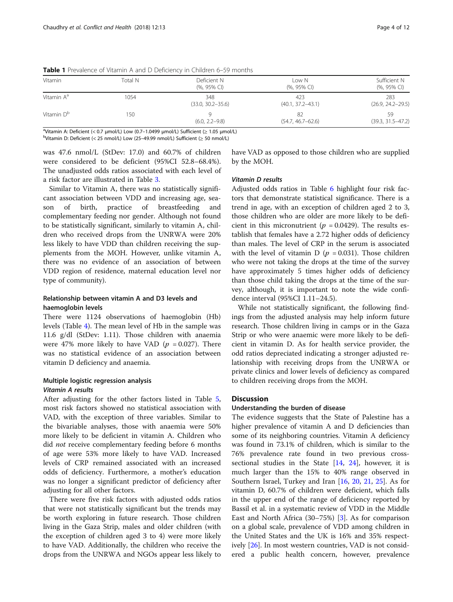| Vitamin                | Total N | Deficient N<br>(%, 95% CI)   | Low N<br>(%, 95% CI)         | Sufficient N<br>(%, 95% CI)  |
|------------------------|---------|------------------------------|------------------------------|------------------------------|
| Vitamin A <sup>a</sup> | 1054    | 348<br>$(33.0, 30.2 - 35.6)$ | 423<br>$(40.1, 37.2 - 43.1)$ | 283<br>$(26.9, 24.2 - 29.5)$ |
| Vitamin D <sup>b</sup> | 150     | $(6.0, 2.2 - 9.8)$           | 82<br>$(54.7, 46.7 - 62.6)$  | 59<br>$(39.3, 31.5 - 47.2)$  |

<span id="page-3-0"></span>Table 1 Prevalence of Vitamin A and D Deficiency in Children 6–59 months

avitamin A: Deficient (< 0.7 μmol/L) Low (0.7–1.0499 μmol/L) Sufficient ( $\geq 1.05$  μmol/L)<br>bytamin D: Deficient (< 25 nmol/L) Low (25, 49.99 nmol/L) Sufficient ( $\geq 50$  nmol/L)

<sup>b</sup>Vitamin D: Deficient (< 25 nmol/L) Low (25-49.99 nmol/L) Sufficient ( $\geq$  50 nmol/L)

was 47.6 nmol/L (StDev: 17.0) and 60.7% of children were considered to be deficient (95%CI 52.8–68.4%). The unadjusted odds ratios associated with each level of a risk factor are illustrated in Table [3](#page-6-0).

Similar to Vitamin A, there was no statistically significant association between VDD and increasing age, season of birth, practice of breastfeeding and complementary feeding nor gender. Although not found to be statistically significant, similarly to vitamin A, children who received drops from the UNRWA were 20% less likely to have VDD than children receiving the supplements from the MOH. However, unlike vitamin A, there was no evidence of an association of between VDD region of residence, maternal education level nor type of community).

## Relationship between vitamin A and D3 levels and haemoglobin levels

There were 1124 observations of haemoglobin (Hb) levels (Table [4](#page-7-0)). The mean level of Hb in the sample was 11.6 g/dl (StDev: 1.11). Those children with anaemia were 47% more likely to have VAD ( $p = 0.027$ ). There was no statistical evidence of an association between vitamin D deficiency and anaemia.

# Multiple logistic regression analysis Vitamin A results

After adjusting for the other factors listed in Table [5](#page-7-0), most risk factors showed no statistical association with VAD, with the exception of three variables. Similar to the bivariable analyses, those with anaemia were 50% more likely to be deficient in vitamin A. Children who did not receive complementary feeding before 6 months of age were 53% more likely to have VAD. Increased levels of CRP remained associated with an increased odds of deficiency. Furthermore, a mother's education was no longer a significant predictor of deficiency after adjusting for all other factors.

There were five risk factors with adjusted odds ratios that were not statistically significant but the trends may be worth exploring in future research. Those children living in the Gaza Strip, males and older children (with the exception of children aged 3 to 4) were more likely to have VAD. Additionally, the children who receive the drops from the UNRWA and NGOs appear less likely to have VAD as opposed to those children who are supplied by the MOH.

## Vitamin D results

Adjusted odds ratios in Table [6](#page-8-0) highlight four risk factors that demonstrate statistical significance. There is a trend in age, with an exception of children aged 2 to 3, those children who are older are more likely to be deficient in this micronutrient ( $p = 0.0429$ ). The results establish that females have a 2.72 higher odds of deficiency than males. The level of CRP in the serum is associated with the level of vitamin D ( $p = 0.031$ ). Those children who were not taking the drops at the time of the survey have approximately 5 times higher odds of deficiency than those child taking the drops at the time of the survey, although, it is important to note the wide confidence interval (95%CI 1.11–24.5).

While not statistically significant, the following findings from the adjusted analysis may help inform future research. Those children living in camps or in the Gaza Strip or who were anaemic were more likely to be deficient in vitamin D. As for health service provider, the odd ratios depreciated indicating a stronger adjusted relationship with receiving drops from the UNRWA or private clinics and lower levels of deficiency as compared to children receiving drops from the MOH.

## **Discussion**

## Understanding the burden of disease

The evidence suggests that the State of Palestine has a higher prevalence of vitamin A and D deficiencies than some of its neighboring countries. Vitamin A deficiency was found in 73.1% of children, which is similar to the 76% prevalence rate found in two previous crosssectional studies in the State  $[14, 24]$  $[14, 24]$  $[14, 24]$ , however, it is much larger than the 15% to 40% range observed in Southern Israel, Turkey and Iran [[16](#page-11-0), [20,](#page-11-0) [21](#page-11-0), [25\]](#page-11-0). As for vitamin D, 60.7% of children were deficient, which falls in the upper end of the range of deficiency reported by Bassil et al. in a systematic review of VDD in the Middle East and North Africa (30–75%) [[3\]](#page-10-0). As for comparison on a global scale, prevalence of VDD among children in the United States and the UK is 16% and 35% respectively [\[26](#page-11-0)]. In most western countries, VAD is not considered a public health concern, however, prevalence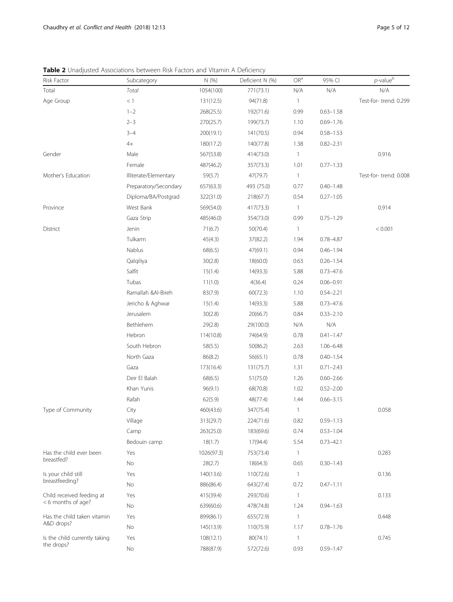<span id="page-4-0"></span>Table 2 Unadjusted Associations between Risk Factors and Vitamin A Deficiency

| Risk Factor                   | Subcategory           | N (%)      | Deficient N (%) | ${\mathsf{OR}}^{\rm a}$ | 95% CI        | $p$ -value $^{\rm b}$ |
|-------------------------------|-----------------------|------------|-----------------|-------------------------|---------------|-----------------------|
| Total                         | Total                 | 1054(100)  | 771(73.1)       | N/A                     | N/A           | N/A                   |
| Age Group                     | $<1\,$                | 131(12.5)  | 94(71.8)        | $\mathbf{1}$            |               | Test-for-trend: 0.299 |
|                               | $1 - 2$               | 268(25.5)  | 192(71.6)       | 0.99                    | $0.63 - 1.58$ |                       |
|                               | $2 - 3$               | 270(25.7)  | 199(73.7)       | 1.10                    | $0.69 - 1.76$ |                       |
|                               | $3 - 4$               | 200(19.1)  | 141(70.5)       | 0.94                    | $0.58 - 1.53$ |                       |
|                               | $4+$                  | 180(17.2)  | 140(77.8)       | 1.38                    | $0.82 - 2.31$ |                       |
| Gender                        | Male                  | 567(53.8)  | 414(73.0)       | $\overline{1}$          |               | 0.916                 |
|                               | Female                | 487(46.2)  | 357(73.3)       | 1.01                    | $0.77 - 1.33$ |                       |
| Mother's Education            | Illiterate/Elementary | 59(5.7)    | 47(79.7)        | $\mathbf{1}$            |               | Test-for-trend: 0.008 |
|                               | Preparatory/Secondary | 657(63.3)  | 493 (75.0)      | 0.77                    | $0.40 - 1.48$ |                       |
|                               | Diploma/BA/Postgrad   | 322(31.0)  | 218(67.7)       | 0.54                    | $0.27 - 1.05$ |                       |
| Province                      | West Bank             | 569(54.0)  | 417(73.3)       | $\mathbf{1}$            |               | 0.914                 |
|                               | Gaza Strip            | 485(46.0)  | 354(73.0)       | 0.99                    | $0.75 - 1.29$ |                       |
| District                      | Jenin                 | 71(6.7)    | 50(70.4)        | $\mathbf{1}$            |               | < 0.001               |
|                               | Tulkarm               | 45(4.3)    | 37(82.2)        | 1.94                    | $0.78 - 4.87$ |                       |
|                               | Nablus                | 68(6.5)    | 47(69.1)        | 0.94                    | $0.46 - 1.94$ |                       |
|                               | Qalqiliya             | 30(2.8)    | 18(60.0)        | 0.63                    | $0.26 - 1.54$ |                       |
|                               | Salfit                | 15(1.4)    | 14(93.3)        | 5.88                    | $0.73 - 47.6$ |                       |
|                               | Tubas                 | 11(1.0)    | 4(36.4)         | 0.24                    | $0.06 - 0.91$ |                       |
|                               | Ramallah &Al-Bireh    | 83(7.9)    | 60(72.3)        | 1.10                    | $0.54 - 2.21$ |                       |
|                               | Jericho & Aghwar      | 15(1.4)    | 14(93.3)        | 5.88                    | $0.73 - 47.6$ |                       |
|                               | Jerusalem             | 30(2.8)    | 20(66.7)        | 0.84                    | $0.33 - 2.10$ |                       |
|                               | Bethlehem             | 29(2.8)    | 29(100.0)       | N/A                     | N/A           |                       |
|                               | Hebron                | 114(10.8)  | 74(64.9)        | 0.78                    | $0.41 - 1.47$ |                       |
|                               | South Hebron          | 58(5.5)    | 50(86.2)        | 2.63                    | $1.06 - 6.48$ |                       |
|                               | North Gaza            | 86(8.2)    | 56(65.1)        | 0.78                    | $0.40 - 1.54$ |                       |
|                               | Gaza                  | 173(16.4)  | 131(75.7)       | 1.31                    | $0.71 - 2.43$ |                       |
|                               | Deir El Balah         | 68(6.5)    | 51(75.0)        | 1.26                    | $0.60 - 2.66$ |                       |
|                               | Khan Yunis            | 96(9.1)    | 68(70.8)        | 1.02                    | $0.52 - 2.00$ |                       |
|                               | Rafah                 | 62(5.9)    | 48(77.4)        | 1.44                    | $0.66 - 3.15$ |                       |
| Type of Community             | City                  | 460(43.6)  | 347(75.4)       | 1                       |               | 0.058                 |
|                               | Village               | 313(29.7)  | 224(71.6)       | 0.82                    | $0.59 - 1.13$ |                       |
|                               | Camp                  | 263(25.0)  | 183(69.6)       | 0.74                    | $0.53 - 1.04$ |                       |
|                               | Bedouin camp          | 18(1.7)    | 17(94.4)        | 5.54                    | $0.73 - 42.1$ |                       |
| Has the child ever been       | Yes                   | 1026(97.3) | 753(73.4)       | $\mathbf{1}$            |               | 0.283                 |
| breastfed?                    | No                    | 28(2.7)    | 18(64.3)        | 0.65                    | $0.30 - 1.43$ |                       |
| Is your child still           | Yes                   | 140(13.6)  | 110(72.6)       | $\overline{1}$          |               | 0.136                 |
| breastfeeding?                | No                    | 886(86.4)  | 643(27.4)       | 0.72                    | $0.47 - 1.11$ |                       |
| Child received feeding at     | Yes                   | 415(39.4)  | 293(70.6)       | $\mathbf{1}$            |               | 0.133                 |
| <6 months of age?             | No                    | 639(60.6)  | 478(74.8)       | 1.24                    | $0.94 - 1.63$ |                       |
| Has the child taken vitamin   | Yes                   | 899(86.1)  | 655(72.9)       | $\mathbf{1}$            |               | 0.448                 |
| A&D drops?                    | No                    | 145(13.9)  | 110(75.9)       | 1.17                    | $0.78 - 1.76$ |                       |
| Is the child currently taking | Yes                   | 108(12.1)  | 80(74.1)        | $\mathbf{1}$            |               | 0.745                 |
| the drops?                    | No                    | 788(87.9)  | 572(72.6)       | 0.93                    | $0.59 - 1.47$ |                       |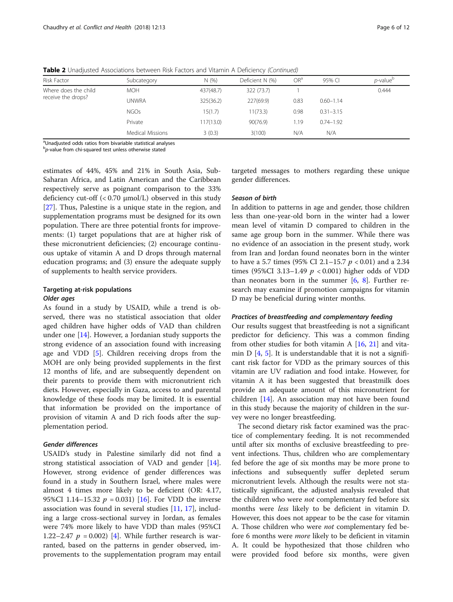| Risk Factor          | Subcategory             | N(%)      | Deficient N (%) | OR <sup>a</sup> | 95% CI        | <i>p</i> -value <sup>p</sup> |
|----------------------|-------------------------|-----------|-----------------|-----------------|---------------|------------------------------|
| Where does the child | <b>MOH</b>              | 437(48.7) | 322 (73.7)      |                 |               | 0.444                        |
| receive the drops?   | UNWRA                   | 325(36.2) | 227(69.9)       | 0.83            | $0.60 - 1.14$ |                              |
|                      | <b>NGOs</b>             | 15(1.7)   | 11(73.3)        | 0.98            | $0.31 - 3.15$ |                              |
|                      | Private                 | 117(13.0) | 90(76.9)        | 1.19            | $0.74 - 1.92$ |                              |
|                      | <b>Medical Missions</b> | 3(0.3)    | 3(100)          | N/A             | N/A           |                              |

Table 2 Unadjusted Associations between Risk Factors and Vitamin A Deficiency (Continued)

<sup>a</sup>Unadjusted odds ratios from bivariable statistical analyses

 $b$ p-value from chi-squared test unless otherwise stated

estimates of 44%, 45% and 21% in South Asia, Sub-Saharan Africa, and Latin American and the Caribbean respectively serve as poignant comparison to the 33% deficiency cut-off  $( $0.70 \mu$ mol/L)$  observed in this study [[27\]](#page-11-0). Thus, Palestine is a unique state in the region, and supplementation programs must be designed for its own population. There are three potential fronts for improvements: (1) target populations that are at higher risk of these micronutrient deficiencies; (2) encourage continuous uptake of vitamin A and D drops through maternal education programs; and (3) ensure the adequate supply of supplements to health service providers.

## Targeting at-risk populations Older ages

As found in a study by USAID, while a trend is observed, there was no statistical association that older aged children have higher odds of VAD than children under one [[14\]](#page-11-0). However, a Jordanian study supports the strong evidence of an association found with increasing age and VDD [\[5](#page-10-0)]. Children receiving drops from the MOH are only being provided supplements in the first 12 months of life, and are subsequently dependent on their parents to provide them with micronutrient rich diets. However, especially in Gaza, access to and parental knowledge of these foods may be limited. It is essential that information be provided on the importance of provision of vitamin A and D rich foods after the supplementation period.

## Gender differences

USAID's study in Palestine similarly did not find a strong statistical association of VAD and gender [\[14](#page-11-0)]. However, strong evidence of gender differences was found in a study in Southern Israel, where males were almost 4 times more likely to be deficient (OR: 4.17, 95%CI 1.14–15.32  $p = 0.031$  [[16\]](#page-11-0). For VDD the inverse association was found in several studies [[11,](#page-11-0) [17\]](#page-11-0), including a large cross-sectional survey in Jordan, as females were 74% more likely to have VDD than males (95%CI 1.22–2.47  $p = 0.002$  [[4\]](#page-10-0). While further research is warranted, based on the patterns in gender observed, improvements to the supplementation program may entail

targeted messages to mothers regarding these unique gender differences.

## Season of birth

In addition to patterns in age and gender, those children less than one-year-old born in the winter had a lower mean level of vitamin D compared to children in the same age group born in the summer. While there was no evidence of an association in the present study, work from Iran and Jordan found neonates born in the winter to have a 5.7 times (95% CI 2.1–15.7  $p < 0.01$ ) and a 2.34 times (95%CI 3.13–1.49  $p < 0.001$ ) higher odds of VDD than neonates born in the summer  $[6, 8]$  $[6, 8]$  $[6, 8]$  $[6, 8]$  $[6, 8]$ . Further research may examine if promotion campaigns for vitamin D may be beneficial during winter months.

#### Practices of breastfeeding and complementary feeding

Our results suggest that breastfeeding is not a significant predictor for deficiency. This was a common finding from other studies for both vitamin A  $[16, 21]$  $[16, 21]$  $[16, 21]$  $[16, 21]$  $[16, 21]$  and vitamin  $D$  [[4,](#page-10-0) [5](#page-10-0)]. It is understandable that it is not a significant risk factor for VDD as the primary sources of this vitamin are UV radiation and food intake. However, for vitamin A it has been suggested that breastmilk does provide an adequate amount of this micronutrient for children [\[14](#page-11-0)]. An association may not have been found in this study because the majority of children in the survey were no longer breastfeeding.

The second dietary risk factor examined was the practice of complementary feeding. It is not recommended until after six months of exclusive breastfeeding to prevent infections. Thus, children who are complementary fed before the age of six months may be more prone to infections and subsequently suffer depleted serum micronutrient levels. Although the results were not statistically significant, the adjusted analysis revealed that the children who were *not* complementary fed before six months were less likely to be deficient in vitamin D. However, this does not appear to be the case for vitamin A. Those children who were *not* complementary fed before 6 months were *more* likely to be deficient in vitamin A. It could be hypothesized that those children who were provided food before six months, were given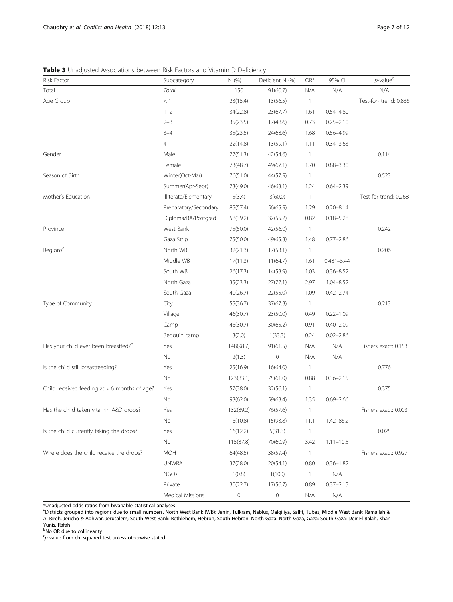<span id="page-6-0"></span>Table 3 Unadjusted Associations between Risk Factors and Vitamin D Deficiency

| Risk Factor                                    | Subcategory           | N (%)               | Deficient N (%) | OR*                      | 95% CI         | $p$ -value <sup>c</sup> |
|------------------------------------------------|-----------------------|---------------------|-----------------|--------------------------|----------------|-------------------------|
| Total                                          | Total                 | 150                 | 91(60.7)        | N/A                      | N/A            | N/A                     |
| Age Group                                      | < 1                   | 23(15.4)            | 13(56.5)        | $\mathbf{1}$             |                | Test-for-trend: 0.836   |
|                                                | $1 - 2$               | 34(22.8)            | 23(67.7)        | 1.61                     | $0.54 - 4.80$  |                         |
|                                                | $2 - 3$               | 35(23.5)            | 17(48.6)        | 0.73                     | $0.25 - 2.10$  |                         |
|                                                | $3 - 4$               | 35(23.5)            | 24(68.6)        | 1.68                     | $0.56 - 4.99$  |                         |
|                                                | $4+$                  | 22(14.8)            | 13(59.1)        | 1.11                     | $0.34 - 3.63$  |                         |
| Gender                                         | Male                  | 77(51.3)            | 42(54.6)        | $\mathbf{1}$             |                | 0.114                   |
|                                                | Female                | 73(48.7)            | 49(67.1)        | 1.70                     | $0.88 - 3.30$  |                         |
| Season of Birth                                | Winter(Oct-Mar)       | 76(51.0)            | 44(57.9)        | $\mathbf{1}$             |                | 0.523                   |
|                                                | Summer(Apr-Sept)      | 73(49.0)            | 46(63.1)        | 1.24                     | $0.64 - 2.39$  |                         |
| Mother's Education                             | Illiterate/Elementary | 5(3.4)              | 3(60.0)         | $\overline{1}$           |                | Test-for trend: 0.268   |
|                                                | Preparatory/Secondary | 85(57.4)            | 56(65.9)        | 1.29                     | $0.20 - 8.14$  |                         |
|                                                | Diploma/BA/Postgrad   | 58(39.2)            | 32(55.2)        | 0.82                     | $0.18 - 5.28$  |                         |
| Province                                       | West Bank             | 75(50.0)            | 42(56.0)        | $\mathbf{1}$             |                | 0.242                   |
|                                                | Gaza Strip            | 75(50.0)            | 49(65.3)        | 1.48                     | $0.77 - 2.86$  |                         |
| Regions <sup>a</sup>                           | North WB              | 32(21.3)            | 17(53.1)        | $\overline{1}$           |                | 0.206                   |
|                                                | Middle WB             | 17(11.3)            | 11(64.7)        | 1.61                     | $0.481 - 5.44$ |                         |
|                                                | South WB              | 26(17.3)            | 14(53.9)        | 1.03                     | $0.36 - 8.52$  |                         |
|                                                | North Gaza            | 35(23.3)            | 27(77.1)        | 2.97                     | $1.04 - 8.52$  |                         |
|                                                | South Gaza            | 40(26.7)            | 22(55.0)        | 1.09                     | $0.42 - 2.74$  |                         |
| Type of Community                              | City                  | 55(36.7)            | 37(67.3)        | $\mathbf{1}$             |                | 0.213                   |
|                                                | Village               | 46(30.7)            | 23(50.0)        | 0.49                     | $0.22 - 1.09$  |                         |
|                                                | Camp                  | 46(30.7)            | 30(65.2)        | 0.91                     | $0.40 - 2.09$  |                         |
|                                                | Bedouin camp          | 3(2.0)              | 1(33.3)         | 0.24                     | $0.02 - 2.86$  |                         |
| Has your child ever been breastfed?b           | Yes                   | 148(98.7)           | 91(61.5)        | N/A                      | N/A            | Fishers exact: 0.153    |
|                                                | No                    | 2(1.3)              | $\mathbb O$     | N/A                      | N/A            |                         |
| Is the child still breastfeeding?              | Yes                   | 25(16.9)            | 16(64.0)        | $\mathbf{1}$             |                | 0.776                   |
|                                                | No                    | 123(83.1)           | 75(61.0)        | 0.88                     | $0.36 - 2.15$  |                         |
| Child received feeding at $<$ 6 months of age? | Yes                   | 57(38.0)            | 32(56.1)        | $\overline{1}$           |                | 0.375                   |
|                                                | No                    | 93(62.0)            | 59(63.4)        | 1.35                     | $0.69 - 2.66$  |                         |
| Has the child taken vitamin A&D drops?         | Yes                   | 132(89.2)           | 76(57.6)        | $\mathbf{1}$             |                | Fishers exact: 0.003    |
|                                                | No                    | 16(10.8)            | 15(93.8)        | 11.1                     | $1.42 - 86.2$  |                         |
| Is the child currently taking the drops?       | Yes                   | 16(12.2)            | 5(31.3)         | $\overline{\phantom{a}}$ |                | 0.025                   |
|                                                | No                    | 115(87.8)           | 70(60.9)        | 3.42                     | $1.11 - 10.5$  |                         |
| Where does the child receive the drops?        | <b>MOH</b>            | 64(48.5)            | 38(59.4)        | $\mathbf{1}$             |                | Fishers exact: 0.927    |
|                                                | <b>UNWRA</b>          | 37(28.0)            | 20(54.1)        | 0.80                     | $0.36 - 1.82$  |                         |
|                                                | <b>NGOs</b>           | 1(0.8)              | 1(100)          | $\mathbf{1}$             | N/A            |                         |
|                                                | Private               | 30(22.7)            | 17(56.7)        | 0.89                     | $0.37 - 2.15$  |                         |
|                                                | Medical Missions      | $\mathsf{O}\xspace$ | 0               | N/A                      | N/A            |                         |

\*Unadjusted odds ratios from bivariable statistical analyses

a Districts grouped into regions due to small numbers. North West Bank (WB): Jenin, Tulkram, Nablus, Qalqiliya, Salfit, Tubas; Middle West Bank: Ramallah & Al-Bireh, Jericho & Aghwar, Jerusalem; South West Bank: Bethlehem, Hebron, South Hebron; North Gaza: North Gaza, Gaza; South Gaza: Deir El Balah, Khan Yunis, Rafah

<sup>b</sup>No OR due to collinearity

 $\epsilon$ p-value from chi-squared test unless otherwise stated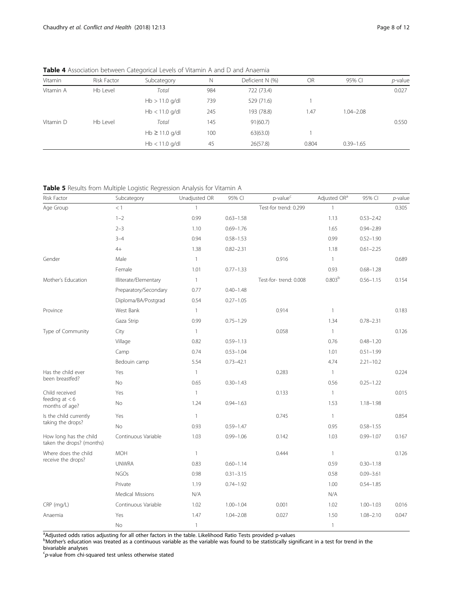<span id="page-7-0"></span>Table 4 Association between Categorical Levels of Vitamin A and D and Anaemia

| Vitamin   | Risk Factor | Subcategory        | $\mathbb N$ | Deficient N (%) | OR    | 95% CI        | $p$ -value |
|-----------|-------------|--------------------|-------------|-----------------|-------|---------------|------------|
| Vitamin A | Hb Level    | Total              | 984         | 722 (73.4)      |       |               | 0.027      |
|           |             | $Hb > 11.0$ g/dl   | 739         | 529 (71.6)      |       |               |            |
|           |             | $Hb < 11.0$ g/dl   | 245         | 193 (78.8)      | 1.47  | $1.04 - 2.08$ |            |
| Vitamin D | Hb Level    | Total              | 145         | 91(60.7)        |       |               | 0.550      |
|           |             | $Hb \ge 11.0$ g/dl | 100         | 63(63.0)        |       |               |            |
|           |             | $Hb < 11.0$ g/dl   | 45          | 26(57.8)        | 0.804 | $0.39 - 1.65$ |            |

Table 5 Results from Multiple Logistic Regression Analysis for Vitamin A

| Risk Factor                                         | Subcategory           | Unadjusted OR | 95% CI        | p-value <sup>c</sup>  | Adjusted OR <sup>a</sup> | 95% CI        | $p$ -value |
|-----------------------------------------------------|-----------------------|---------------|---------------|-----------------------|--------------------------|---------------|------------|
| Age Group                                           | $<\,1$                | $\mathbf{1}$  |               | Test-for trend: 0.299 | $\mathbf{1}$             |               | 0.305      |
|                                                     | $1 - 2$               | 0.99          | $0.63 - 1.58$ |                       | 1.13                     | $0.53 - 2.42$ |            |
|                                                     | $2 - 3$               | 1.10          | $0.69 - 1.76$ |                       | 1.65                     | $0.94 - 2.89$ |            |
|                                                     | $3 - 4$               | 0.94          | $0.58 - 1.53$ |                       | 0.99                     | $0.52 - 1.90$ |            |
|                                                     | $4+$                  | 1.38          | $0.82 - 2.31$ |                       | 1.18                     | $0.61 - 2.25$ |            |
| Gender                                              | Male                  | $\mathbf{1}$  |               | 0.916                 | $\mathbf{1}$             |               | 0.689      |
|                                                     | Female                | 1.01          | $0.77 - 1.33$ |                       | 0.93                     | $0.68 - 1.28$ |            |
| Mother's Education                                  | Illiterate/Elementary | $\mathbf{1}$  |               | Test-for-trend: 0.008 | 0.803 <sup>b</sup>       | $0.56 - 1.15$ | 0.154      |
|                                                     | Preparatory/Secondary | 0.77          | $0.40 - 1.48$ |                       |                          |               |            |
|                                                     | Diploma/BA/Postgrad   | 0.54          | $0.27 - 1.05$ |                       |                          |               |            |
| Province                                            | West Bank             | $\mathbf{1}$  |               | 0.914                 | $\mathbf{1}$             |               | 0.183      |
|                                                     | Gaza Strip            | 0.99          | $0.75 - 1.29$ |                       | 1.34                     | $0.78 - 2.31$ |            |
| Type of Community                                   | City                  | $\mathbf{1}$  |               | 0.058                 | $\mathbf{1}$             |               | 0.126      |
|                                                     | Village               | 0.82          | $0.59 - 1.13$ |                       | 0.76                     | $0.48 - 1.20$ |            |
|                                                     | Camp                  | 0.74          | $0.53 - 1.04$ |                       | 1.01                     | $0.51 - 1.99$ |            |
|                                                     | Bedouin camp          | 5.54          | $0.73 - 42.1$ |                       | 4.74                     | $2.21 - 10.2$ |            |
| Has the child ever                                  | Yes                   | $\mathbf{1}$  |               | 0.283                 | $\mathbf{1}$             |               | 0.224      |
| been breastfed?                                     | No                    | 0.65          | $0.30 - 1.43$ |                       | 0.56                     | $0.25 - 1.22$ |            |
| Child received                                      | Yes                   | $\mathbf{1}$  |               | 0.133                 | $\mathbf{1}$             |               | 0.015      |
| feeding at $< 6$<br>months of age?                  | No                    | 1.24          | $0.94 - 1.63$ |                       | 1.53                     | $1.18 - 1.98$ |            |
| Is the child currently                              | Yes                   | $\mathbf{1}$  |               | 0.745                 | $\mathbf{1}$             |               | 0.854      |
| taking the drops?                                   | <b>No</b>             | 0.93          | $0.59 - 1.47$ |                       | 0.95                     | $0.58 - 1.55$ |            |
| How long has the child<br>taken the drops? (months) | Continuous Variable   | 1.03          | $0.99 - 1.06$ | 0.142                 | 1.03                     | $0.99 - 1.07$ | 0.167      |
| Where does the child                                | <b>MOH</b>            | $\mathbf{1}$  |               | 0.444                 | $\mathbf{1}$             |               | 0.126      |
| receive the drops?                                  | <b>UNWRA</b>          | 0.83          | $0.60 - 1.14$ |                       | 0.59                     | $0.30 - 1.18$ |            |
|                                                     | <b>NGOs</b>           | 0.98          | $0.31 - 3.15$ |                       | 0.58                     | $0.09 - 3.61$ |            |
|                                                     | Private               | 1.19          | $0.74 - 1.92$ |                       | 1.00                     | $0.54 - 1.85$ |            |
|                                                     | Medical Missions      | N/A           |               |                       | N/A                      |               |            |
| CRP (mg/L)                                          | Continuous Variable   | 1.02          | $1.00 - 1.04$ | 0.001                 | 1.02                     | $1.00 - 1.03$ | 0.016      |
| Anaemia                                             | Yes                   | 1.47          | $1.04 - 2.08$ | 0.027                 | 1.50                     | $1.08 - 2.10$ | 0.047      |
|                                                     | No                    | $\mathbf{1}$  |               |                       | $\mathbf{1}$             |               |            |

<sup>a</sup>Adjusted odds ratios adjusting for all other factors in the table. Likelihood Ratio Tests provided p-values<br><sup>b</sup>Mother's education was treated as a continuous variable as the variable was found to be statistically signif bivariable analyses

 $\epsilon$ p-value from chi-squared test unless otherwise stated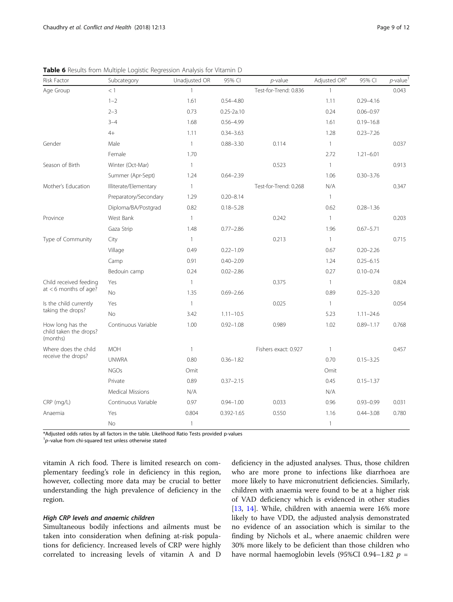| Risk Factor                                            | Subcategory             | Unadjusted OR  | 95% CI         | $p$ -value            | Adjusted OR <sup>a</sup> | 95% CI        | $p$ -value <sup>1</sup> |
|--------------------------------------------------------|-------------------------|----------------|----------------|-----------------------|--------------------------|---------------|-------------------------|
| Age Group                                              | <1                      | $\mathbf{1}$   |                | Test-for-Trend: 0.836 | $\mathbf{1}$             |               | 0.043                   |
|                                                        | $1 - 2$                 | 1.61           | $0.54 - 4.80$  |                       | 1.11                     | $0.29 - 4.16$ |                         |
|                                                        | $2 - 3$                 | 0.73           | $0.25 - 2a.10$ |                       | 0.24                     | $0.06 - 0.97$ |                         |
|                                                        | $3 - 4$                 | 1.68           | $0.56 - 4.99$  |                       | 1.61                     | $0.19 - 16.8$ |                         |
|                                                        | $4+$                    | 1.11           | $0.34 - 3.63$  |                       | 1.28                     | $0.23 - 7.26$ |                         |
| Gender                                                 | Male                    | $\mathbf{1}$   | $0.88 - 3.30$  | 0.114                 | $\mathbf{1}$             |               | 0.037                   |
|                                                        | Female                  | 1.70           |                |                       | 2.72                     | $1.21 - 6.01$ |                         |
| Season of Birth                                        | Winter (Oct-Mar)        | $\mathbf{1}$   |                | 0.523                 | $\mathbf{1}$             |               | 0.913                   |
|                                                        | Summer (Apr-Sept)       | 1.24           | $0.64 - 2.39$  |                       | 1.06                     | $0.30 - 3.76$ |                         |
| Mother's Education                                     | Illiterate/Elementary   | $\mathbf{1}$   |                | Test-for-Trend: 0.268 | N/A                      |               | 0.347                   |
|                                                        | Preparatory/Secondary   | 1.29           | $0.20 - 8.14$  |                       | $\mathbf{1}$             |               |                         |
|                                                        | Diploma/BA/Postgrad     | 0.82           | $0.18 - 5.28$  |                       | 0.62                     | $0.28 - 1.36$ |                         |
| Province                                               | West Bank               | $\mathbf{1}$   |                | 0.242                 | $\mathbf{1}$             |               | 0.203                   |
|                                                        | Gaza Strip              | 1.48           | $0.77 - 2.86$  |                       | 1.96                     | $0.67 - 5.71$ |                         |
| Type of Community                                      | City                    | $\mathbf{1}$   |                | 0.213                 | $\mathbf{1}$             |               | 0.715                   |
|                                                        | Village                 | 0.49           | $0.22 - 1.09$  |                       | 0.67                     | $0.20 - 2.26$ |                         |
|                                                        | Camp                    | 0.91           | $0.40 - 2.09$  |                       | 1.24                     | $0.25 - 6.15$ |                         |
|                                                        | Bedouin camp            | 0.24           | $0.02 - 2.86$  |                       | 0.27                     | $0.10 - 0.74$ |                         |
| Child received feeding                                 | Yes                     | $\mathbf{1}$   |                | 0.375                 | $\mathbf{1}$             |               | 0.824                   |
| at $<$ 6 months of age?                                | No                      | 1.35           | $0.69 - 2.66$  |                       | 0.89                     | $0.25 - 3.20$ |                         |
| Is the child currently                                 | Yes                     | $\mathbf{1}$   |                | 0.025                 | $\mathbf{1}$             |               | 0.054                   |
| taking the drops?                                      | <b>No</b>               | 3.42           | $1.11 - 10.5$  |                       | 5.23                     | $1.11 - 24.6$ |                         |
| How long has the<br>child taken the drops?<br>(months) | Continuous Variable     | 1.00           | $0.92 - 1.08$  | 0.989                 | 1.02                     | $0.89 - 1.17$ | 0.768                   |
| Where does the child                                   | <b>MOH</b>              | $\overline{1}$ |                | Fishers exact: 0.927  | $\mathbf{1}$             |               | 0.457                   |
| receive the drops?                                     | <b>UNWRA</b>            | 0.80           | $0.36 - 1.82$  |                       | 0.70                     | $0.15 - 3.25$ |                         |
|                                                        | <b>NGOs</b>             | Omit           |                |                       | Omit                     |               |                         |
|                                                        | Private                 | 0.89           | $0.37 - 2.15$  |                       | 0.45                     | $0.15 - 1.37$ |                         |
|                                                        | <b>Medical Missions</b> | N/A            |                |                       | N/A                      |               |                         |
| CRP (mg/L)                                             | Continuous Variable     | 0.97           | $0.94 - 1.00$  | 0.033                 | 0.96                     | $0.93 - 0.99$ | 0.031                   |
| Anaemia                                                | Yes                     | 0.804          | 0.392-1.65     | 0.550                 | 1.16                     | $0.44 - 3.08$ | 0.780                   |
|                                                        | No                      | $\overline{1}$ |                |                       | $\mathbf{1}$             |               |                         |

<span id="page-8-0"></span>Table 6 Results from Multiple Logistic Regression Analysis for Vitamin D

\*Adjusted odds ratios by all factors in the table. Likelihood Ratio Tests provided p-values

 $1p$ -value from chi-squared test unless otherwise stated

vitamin A rich food. There is limited research on complementary feeding's role in deficiency in this region, however, collecting more data may be crucial to better understanding the high prevalence of deficiency in the region.

## High CRP levels and anaemic children

Simultaneous bodily infections and ailments must be taken into consideration when defining at-risk populations for deficiency. Increased levels of CRP were highly correlated to increasing levels of vitamin A and D deficiency in the adjusted analyses. Thus, those children who are more prone to infections like diarrhoea are more likely to have micronutrient deficiencies. Similarly, children with anaemia were found to be at a higher risk of VAD deficiency which is evidenced in other studies [[13,](#page-11-0) [14\]](#page-11-0). While, children with anaemia were 16% more likely to have VDD, the adjusted analysis demonstrated no evidence of an association which is similar to the finding by Nichols et al., where anaemic children were 30% more likely to be deficient than those children who have normal haemoglobin levels (95%CI 0.94-1.82  $p\,=\,$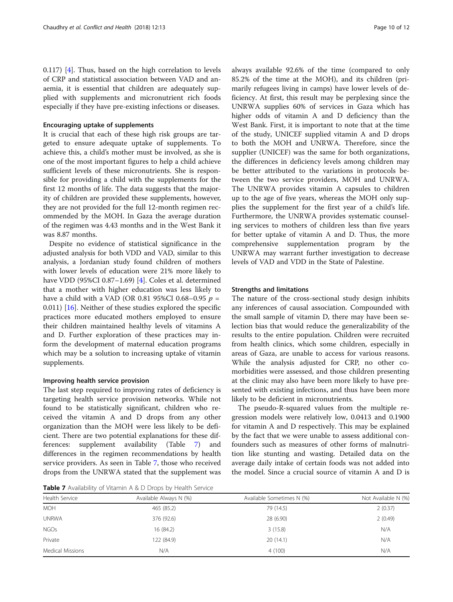0.117) [\[4](#page-10-0)]. Thus, based on the high correlation to levels of CRP and statistical association between VAD and anaemia, it is essential that children are adequately supplied with supplements and micronutrient rich foods especially if they have pre-existing infections or diseases.

## Encouraging uptake of supplements

It is crucial that each of these high risk groups are targeted to ensure adequate uptake of supplements. To achieve this, a child's mother must be involved, as she is one of the most important figures to help a child achieve sufficient levels of these micronutrients. She is responsible for providing a child with the supplements for the first 12 months of life. The data suggests that the majority of children are provided these supplements, however, they are not provided for the full 12-month regimen recommended by the MOH. In Gaza the average duration of the regimen was 4.43 months and in the West Bank it was 8.87 months.

Despite no evidence of statistical significance in the adjusted analysis for both VDD and VAD, similar to this analysis, a Jordanian study found children of mothers with lower levels of education were 21% more likely to have VDD (95%CI 0.87–1.69) [\[4\]](#page-10-0). Coles et al. determined that a mother with higher education was less likely to have a child with a VAD (OR 0.81 95%CI 0.68–0.95  $p =$ 0.011) [[16\]](#page-11-0). Neither of these studies explored the specific practices more educated mothers employed to ensure their children maintained healthy levels of vitamins A and D. Further exploration of these practices may inform the development of maternal education programs which may be a solution to increasing uptake of vitamin supplements.

## Improving health service provision

The last step required to improving rates of deficiency is targeting health service provision networks. While not found to be statistically significant, children who received the vitamin A and D drops from any other organization than the MOH were less likely to be deficient. There are two potential explanations for these differences: supplement availability (Table 7) and differences in the regimen recommendations by health service providers. As seen in Table 7, those who received drops from the UNRWA stated that the supplement was

**Table 7** Availability of Vitamin A & D Drops by Health Service

always available 92.6% of the time (compared to only 85.2% of the time at the MOH), and its children (primarily refugees living in camps) have lower levels of deficiency. At first, this result may be perplexing since the UNRWA supplies 60% of services in Gaza which has higher odds of vitamin A and D deficiency than the West Bank. First, it is important to note that at the time of the study, UNICEF supplied vitamin A and D drops to both the MOH and UNRWA. Therefore, since the supplier (UNICEF) was the same for both organizations, the differences in deficiency levels among children may be better attributed to the variations in protocols between the two service providers, MOH and UNRWA. The UNRWA provides vitamin A capsules to children up to the age of five years, whereas the MOH only supplies the supplement for the first year of a child's life. Furthermore, the UNRWA provides systematic counseling services to mothers of children less than five years for better uptake of vitamin A and D. Thus, the more comprehensive supplementation program by the UNRWA may warrant further investigation to decrease levels of VAD and VDD in the State of Palestine.

#### Strengths and limitations

The nature of the cross-sectional study design inhibits any inferences of causal association. Compounded with the small sample of vitamin D, there may have been selection bias that would reduce the generalizability of the results to the entire population. Children were recruited from health clinics, which some children, especially in areas of Gaza, are unable to access for various reasons. While the analysis adjusted for CRP, no other comorbidities were assessed, and those children presenting at the clinic may also have been more likely to have presented with existing infections, and thus have been more likely to be deficient in micronutrients.

The pseudo-R-squared values from the multiple regression models were relatively low, 0.0413 and 0.1900 for vitamin A and D respectively. This may be explained by the fact that we were unable to assess additional confounders such as measures of other forms of malnutrition like stunting and wasting. Detailed data on the average daily intake of certain foods was not added into the model. Since a crucial source of vitamin A and D is

| Health Service          | Available Always N (%) | Available Sometimes N (%) | Not Available N (%) |  |
|-------------------------|------------------------|---------------------------|---------------------|--|
| <b>MOH</b>              | 465 (85.2)             | 79 (14.5)                 | 2(0.37)             |  |
| <b>UNRWA</b>            | 376 (92.6)             | 28 (6.90)                 | 2(0.49)             |  |
| <b>NGOs</b>             | 16 (84.2)              | 3(15.8)                   | N/A                 |  |
| Private                 | 122 (84.9)             | 20(14.1)                  | N/A                 |  |
| <b>Medical Missions</b> | N/A                    | 4(100)                    | N/A                 |  |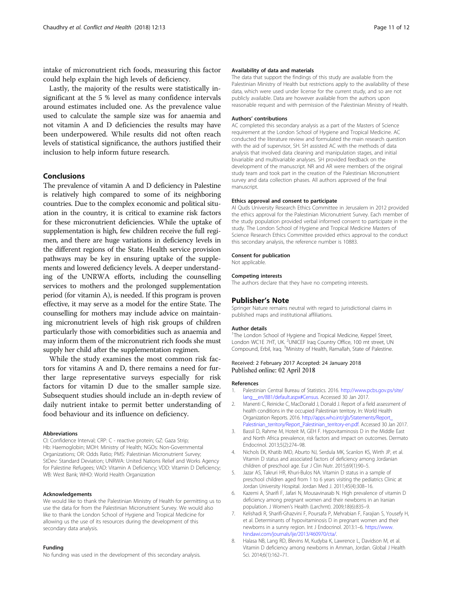<span id="page-10-0"></span>intake of micronutrient rich foods, measuring this factor could help explain the high levels of deficiency.

Lastly, the majority of the results were statistically insignificant at the 5 % level as many confidence intervals around estimates included one. As the prevalence value used to calculate the sample size was for anaemia and not vitamin A and D deficiencies the results may have been underpowered. While results did not often reach levels of statistical significance, the authors justified their inclusion to help inform future research.

#### Conclusions

The prevalence of vitamin A and D deficiency in Palestine is relatively high compared to some of its neighboring countries. Due to the complex economic and political situation in the country, it is critical to examine risk factors for these micronutrient deficiencies. While the uptake of supplementation is high, few children receive the full regimen, and there are huge variations in deficiency levels in the different regions of the State. Health service provision pathways may be key in ensuring uptake of the supplements and lowered deficiency levels. A deeper understanding of the UNRWA efforts, including the counselling services to mothers and the prolonged supplementation period (for vitamin A), is needed. If this program is proven effective, it may serve as a model for the entire State. The counselling for mothers may include advice on maintaining micronutrient levels of high risk groups of children particularly those with comorbidities such as anaemia and may inform them of the micronutrient rich foods she must supply her child after the supplementation regimen.

While the study examines the most common risk factors for vitamins A and D, there remains a need for further large representative surveys especially for risk factors for vitamin D due to the smaller sample size. Subsequent studies should include an in-depth review of daily nutrient intake to permit better understanding of food behaviour and its influence on deficiency.

#### Abbreviations

CI: Confidence Interval; CRP: C - reactive protein; GZ: Gaza Strip; Hb: Haemoglobin; MOH: Ministry of Health; NGOs: Non-Governmental Organizations; OR: Odds Ratio; PMS: Palestinian Micronutrient Survey; StDev: Standard Deviation; UNRWA: United Nations Relief and Works Agency for Palestine Refugees; VAD: Vitamin A Deficiency; VDD: Vitamin D Deficiency; WB: West Bank; WHO: World Health Organization

#### Acknowledgements

We would like to thank the Palestinian Ministry of Health for permitting us to use the data for from the Palestinian Micronutrient Survey. We would also like to thank the London School of Hygiene and Tropical Medicine for allowing us the use of its resources during the development of this secondary data analysis.

#### Funding

No funding was used in the development of this secondary analysis.

#### Availability of data and materials

The data that support the findings of this study are available from the Palestinian Ministry of Health but restrictions apply to the availability of these data, which were used under license for the current study, and so are not publicly available. Data are however available from the authors upon reasonable request and with permission of the Palestinian Ministry of Health.

#### Authors' contributions

AC completed this secondary analysis as a part of the Masters of Science requirement at the London School of Hygiene and Tropical Medicine. AC conducted the literature review and formulated the main research question with the aid of supervisor, SH. SH assisted AC with the methods of data analysis that involved data cleaning and manipulation stages, and initial bivariable and multivariable analyses. SH provided feedback on the development of the manuscript. NR and AR were members of the original study team and took part in the creation of the Palestinian Micronutrient survey and data collection phases. All authors approved of the final manuscript.

#### Ethics approval and consent to participate

Al Quds University Research Ethics Committee in Jerusalem in 2012 provided the ethics approval for the Palestinian Micronutrient Survey. Each member of the study population provided verbal informed consent to participate in the study. The London School of Hygiene and Tropical Medicine Masters of Science Research Ethics Committee provided ethics approval to the conduct this secondary analysis, the reference number is 10883.

#### Consent for publication

Not applicable.

#### Competing interests

The authors declare that they have no competing interests.

#### Publisher's Note

Springer Nature remains neutral with regard to jurisdictional claims in published maps and institutional affiliations.

#### Author details

<sup>1</sup>The London School of Hygiene and Tropical Medicine, Keppel Street, London WC1E 7HT, UK. <sup>2</sup>UNICEF Iraq Country Office, 100 mt street, UN Compound, Erbil, Iraq. <sup>3</sup>Ministry of Health, Ramallah, State of Palestine.

#### Received: 2 February 2017 Accepted: 24 January 2018 Published online: 02 April 2018

#### References

- 1. Palestinian Central Bureau of Statistics. 2016. [http://www.pcbs.gov.ps/site/](http://www.pcbs.gov.ps/site/lang__en/881/default.aspx#Census) lang en/881/default.aspx#Census. Accessed 30 Jan 2017.
- 2. Manenti C, Reinicke C, MacDonald J, Donald J. Report of a field assessment of health conditions in the occupied Palestinian territory. In: World Health Organization Reports. 2016. [http://apps.who.int/gb/Statements/Report\\_](http://apps.who.int/gb/Statements/Report_Palestinian_territory/Report_Palestinian_territory-en.pdf) [Palestinian\\_territory/Report\\_Palestinian\\_territory-en.pdf.](http://apps.who.int/gb/Statements/Report_Palestinian_territory/Report_Palestinian_territory-en.pdf) Accessed 30 Jan 2017.
- 3. Bassil D, Rahme M, Hoteit M, GEH F. Hypovitaminosis D in the Middle East and North Africa prevalence, risk factors and impact on outcomes. Dermato Endocrinol. 2013;5(2):274–98.
- 4. Nichols EK, Khatib IMD, Aburto NJ, Serdula MK, Scanlon KS, Wirth JP, et al. Vitamin D status and associated factors of deficiency among Jordanian children of preschool age. Eur J Clin Nutr. 2015;69(1):90–5.
- 5. Jazar AS, Takruri HR, Khuri-Bulos NA. Vitamin D status in a sample of preschool children aged from 1 to 6 years visiting the pediatrics Clinic at Jordan University Hospital. Jordan Med J. 2011;45(4):308–16.
- Kazemi A, Sharifi F, Jafari N, Mousavinasab N. High prevalence of vitamin D deficiency among pregnant women and their newborns in an Iranian population. J Women's Health (Larchmt). 2009;18(6):835–9.
- 7. Kelishadi R, Sharifi-Ghazvini F, Poursafa P, Mehrabian F, Farajian S, Yousefy H, et al. Determinants of hypovitaminosis D in pregnant women and their newborns in a sunny region. Int J Endocrinol. 2013:1–6. [https://www.](https://www.hindawi.com/journals/ije/2013/460970/cta/) [hindawi.com/journals/ije/2013/460970/cta/](https://www.hindawi.com/journals/ije/2013/460970/cta/).
- Halasa NB, Lang RD, Blevins M, Kudyba K, Lawrence L, Davidson M, et al. Vitamin D deficiency among newborns in Amman, Jordan. Global J Health Sci. 2014;6(1):162–71.